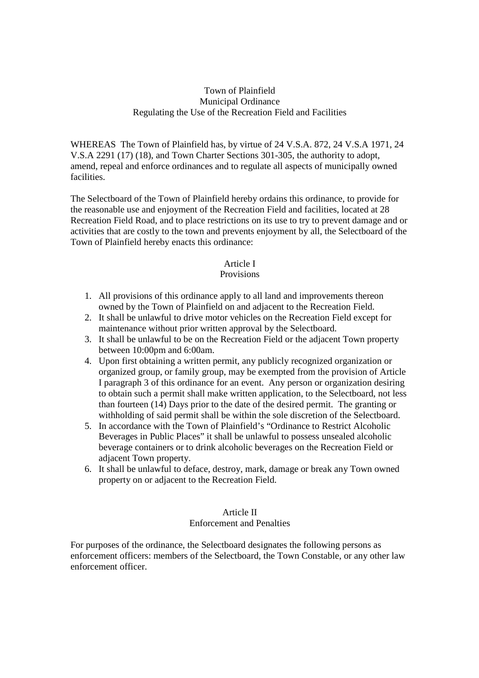## Town of Plainfield Municipal Ordinance Regulating the Use of the Recreation Field and Facilities

WHEREAS The Town of Plainfield has, by virtue of 24 V.S.A. 872, 24 V.S.A 1971, 24 V.S.A 2291 (17) (18), and Town Charter Sections 301-305, the authority to adopt, amend, repeal and enforce ordinances and to regulate all aspects of municipally owned facilities.

The Selectboard of the Town of Plainfield hereby ordains this ordinance, to provide for the reasonable use and enjoyment of the Recreation Field and facilities, located at 28 Recreation Field Road, and to place restrictions on its use to try to prevent damage and or activities that are costly to the town and prevents enjoyment by all, the Selectboard of the Town of Plainfield hereby enacts this ordinance:

## Article I

## Provisions

- 1. All provisions of this ordinance apply to all land and improvements thereon owned by the Town of Plainfield on and adjacent to the Recreation Field.
- 2. It shall be unlawful to drive motor vehicles on the Recreation Field except for maintenance without prior written approval by the Selectboard.
- 3. It shall be unlawful to be on the Recreation Field or the adjacent Town property between 10:00pm and 6:00am.
- 4. Upon first obtaining a written permit, any publicly recognized organization or organized group, or family group, may be exempted from the provision of Article I paragraph 3 of this ordinance for an event. Any person or organization desiring to obtain such a permit shall make written application, to the Selectboard, not less than fourteen (14) Days prior to the date of the desired permit. The granting or withholding of said permit shall be within the sole discretion of the Selectboard.
- 5. In accordance with the Town of Plainfield's "Ordinance to Restrict Alcoholic Beverages in Public Places" it shall be unlawful to possess unsealed alcoholic beverage containers or to drink alcoholic beverages on the Recreation Field or adjacent Town property.
- 6. It shall be unlawful to deface, destroy, mark, damage or break any Town owned property on or adjacent to the Recreation Field.

## Article II

#### Enforcement and Penalties

For purposes of the ordinance, the Selectboard designates the following persons as enforcement officers: members of the Selectboard, the Town Constable, or any other law enforcement officer.